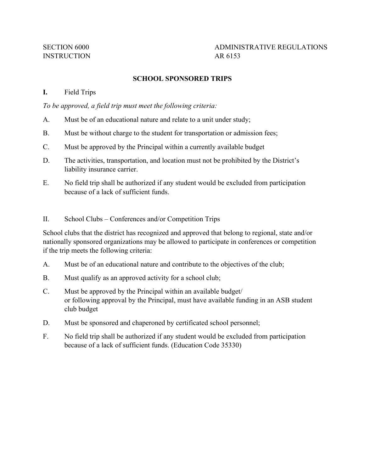# SECTION 6000 ADMINISTRATIVE REGULATIONS

## **SCHOOL SPONSORED TRIPS**

#### **I.** Field Trips

*To be approved, a field trip must meet the following criteria:* 

- A. Must be of an educational nature and relate to a unit under study;
- B. Must be without charge to the student for transportation or admission fees;
- C. Must be approved by the Principal within a currently available budget
- D. The activities, transportation, and location must not be prohibited by the District's liability insurance carrier.
- E. No field trip shall be authorized if any student would be excluded from participation because of a lack of sufficient funds.
- II. School Clubs Conferences and/or Competition Trips

 School clubs that the district has recognized and approved that belong to regional, state and/or nationally sponsored organizations may be allowed to participate in conferences or competition if the trip meets the following criteria:

- A. Must be of an educational nature and contribute to the objectives of the club;
- B. Must qualify as an approved activity for a school club;
- C. Must be approved by the Principal within an available budget/ or following approval by the Principal, must have available funding in an ASB student club budget
- D. Must be sponsored and chaperoned by certificated school personnel;
- F. No field trip shall be authorized if any student would be excluded from participation because of a lack of sufficient funds. (Education Code 35330)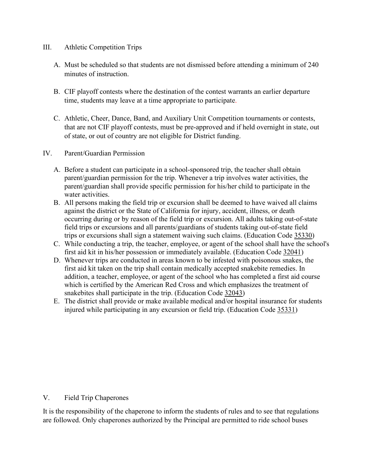- III. Athletic Competition Trips
	- A. Must be scheduled so that students are not dismissed before attending a minimum of 240 minutes of instruction.
	- B. CIF playoff contests where the destination of the contest warrants an earlier departure time, students may leave at a time appropriate to participate.
	- that are not CIF playoff contests, must be pre-approved and if held overnight in state, out C. Athletic, Cheer, Dance, Band, and Auxiliary Unit Competition tournaments or contests, of state, or out of country are not eligible for District funding.
- IV. Parent/Guardian Permission
	- A. Before a student can participate in a school-sponsored trip, the teacher shall obtain parent/guardian permission for the trip. Whenever a trip involves water activities, the parent/guardian shall provide specific permission for his/her child to participate in the water activities.
	- occurring during or by reason of the field trip or excursion. All adults taking out-of-state trips or excursions shall sign a statement waiving such claims. (Education Code [35330\)](http://gamutonline.net/displayPolicy/131472/6) B. All persons making the field trip or excursion shall be deemed to have waived all claims against the district or the State of California for injury, accident, illness, or death field trips or excursions and all parents/guardians of students taking out-of-state field
	- first aid kit in his/her possession or immediately available. (Education Code [32041\)](http://gamutonline.net/displayPolicy/131109/6) C. While conducting a trip, the teacher, employee, or agent of the school shall have the school's
	- snakebites shall participate in the trip. (Education Code [32043\)](http://gamutonline.net/displayPolicy/131110/6) D. Whenever trips are conducted in areas known to be infested with poisonous snakes, the first aid kit taken on the trip shall contain medically accepted snakebite remedies. In addition, a teacher, employee, or agent of the school who has completed a first aid course which is certified by the American Red Cross and which emphasizes the treatment of
	- injured while participating in any excursion or field trip. (Education Code [35331\)](http://gamutonline.net/displayPolicy/131473/6) E. The district shall provide or make available medical and/or hospital insurance for students

#### V. Field Trip Chaperones

It is the responsibility of the chaperone to inform the students of rules and to see that regulations are followed. Only chaperones authorized by the Principal are permitted to ride school buses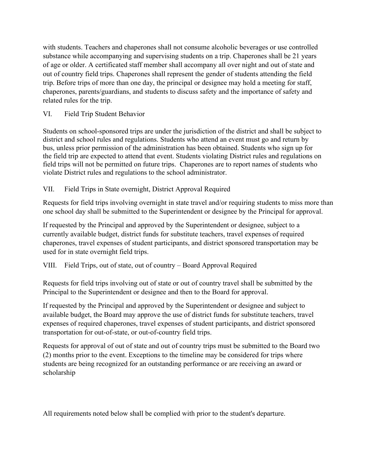with students. Teachers and chaperones shall not consume alcoholic beverages or use controlled substance while accompanying and supervising students on a trip. Chaperones shall be 21 years of age or older. A certificated staff member shall accompany all over night and out of state and out of country field trips. Chaperones shall represent the gender of students attending the field trip. Before trips of more than one day, the principal or designee may hold a meeting for staff, chaperones, parents/guardians, and students to discuss safety and the importance of safety and related rules for the trip.

VI. Field Trip Student Behavior

Students on school-sponsored trips are under the jurisdiction of the district and shall be subject to district and school rules and regulations. Students who attend an event must go and return by bus, unless prior permission of the administration has been obtained. Students who sign up for the field trip are expected to attend that event. Students violating District rules and regulations on field trips will not be permitted on future trips. Chaperones are to report names of students who violate District rules and regulations to the school administrator.

### VII. Field Trips in State overnight, District Approval Required

Requests for field trips involving overnight in state travel and/or requiring students to miss more than one school day shall be submitted to the Superintendent or designee by the Principal for approval.

If requested by the Principal and approved by the Superintendent or designee, subject to a currently available budget, district funds for substitute teachers, travel expenses of required chaperones, travel expenses of student participants, and district sponsored transportation may be used for in state overnight field trips.

## VIII. Field Trips, out of state, out of country – Board Approval Required

Requests for field trips involving out of state or out of country travel shall be submitted by the Principal to the Superintendent or designee and then to the Board for approval.

If requested by the Principal and approved by the Superintendent or designee and subject to available budget, the Board may approve the use of district funds for substitute teachers, travel expenses of required chaperones, travel expenses of student participants, and district sponsored transportation for out-of-state, or out-of-country field trips.

Requests for approval of out of state and out of country trips must be submitted to the Board two (2) months prior to the event. Exceptions to the timeline may be considered for trips where students are being recognized for an outstanding performance or are receiving an award or scholarship

All requirements noted below shall be complied with prior to the student's departure.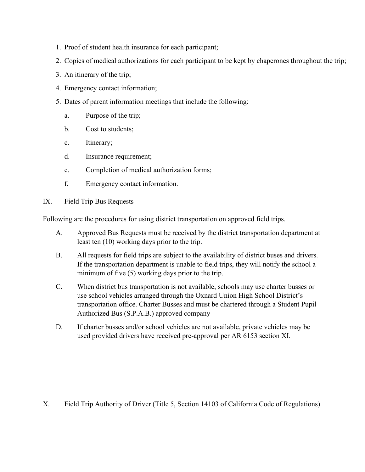- 1. Proof of student health insurance for each participant;
- 2. Copies of medical authorizations for each participant to be kept by chaperones throughout the trip;
- 3. An itinerary of the trip;
- 4. Emergency contact information;
- 5. Dates of parent information meetings that include the following:
	- a. Purpose of the trip;
	- b. Cost to students;
	- c. Itinerary;
	- d. Insurance requirement;
	- e. Completion of medical authorization forms;
	- f. Emergency contact information.
- IX. Field Trip Bus Requests

Following are the procedures for using district transportation on approved field trips.

- A. Approved Bus Requests must be received by the district transportation department at least ten (10) working days prior to the trip.
- minimum of five (5) working days prior to the trip. B. All requests for field trips are subject to the availability of district buses and drivers. If the transportation department is unable to field trips, they will notify the school a
- C. When district bus transportation is not available, schools may use charter busses or transportation office. Charter Busses and must be chartered through a Student Pupil use school vehicles arranged through the Oxnard Union High School District's Authorized Bus (S.P.A.B.) approved company
- D. If charter busses and/or school vehicles are not available, private vehicles may be used provided drivers have received pre-approval per AR 6153 section XI.

X. Field Trip Authority of Driver (Title 5, Section 14103 of California Code of Regulations)